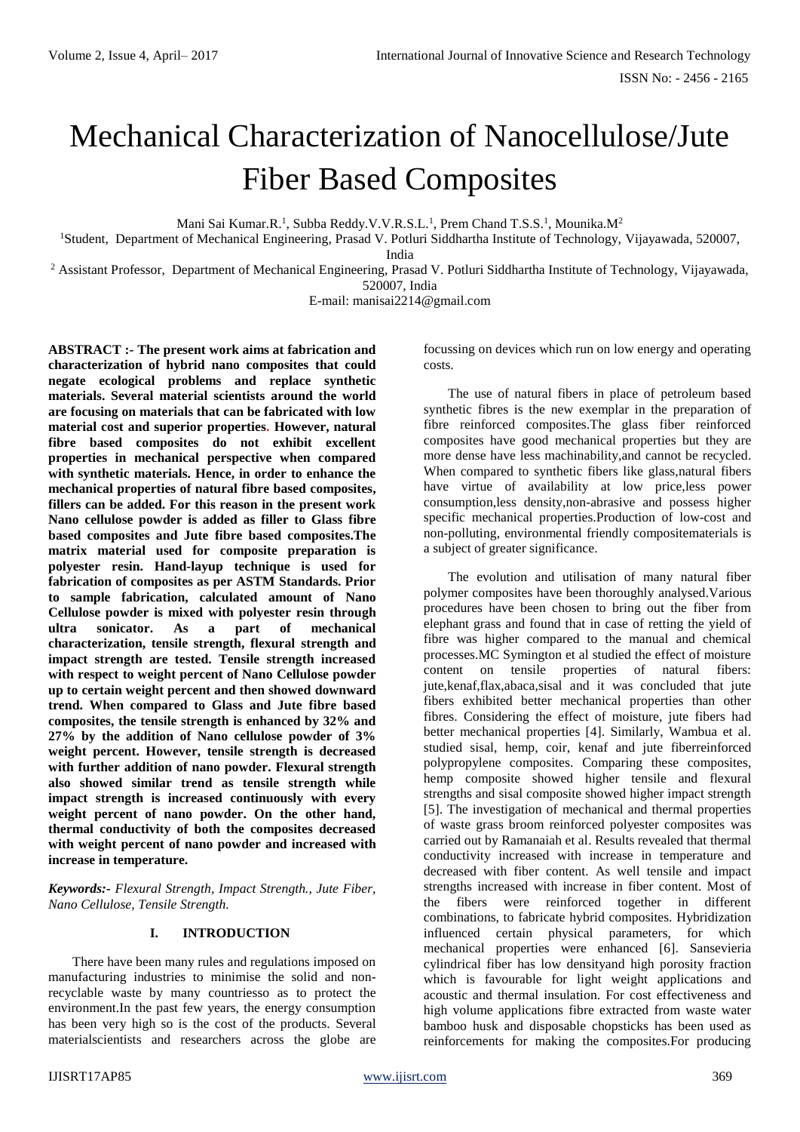# Mechanical Characterization of Nanocellulose/Jute Fiber Based Composites

Mani Sai Kumar.R.<sup>1</sup>, Subba Reddy.V.V.R.S.L.<sup>1</sup>, Prem Chand T.S.S.<sup>1</sup>, Mounika.M<sup>2</sup>

<sup>1</sup>Student, Department of Mechanical Engineering, Prasad V. Potluri Siddhartha Institute of Technology, Vijayawada, 520007, India

<sup>2</sup> Assistant Professor, Department of Mechanical Engineering, Prasad V. Potluri Siddhartha Institute of Technology, Vijayawada, 520007, India

E-mail: manisai2214@gmail.com

**ABSTRACT :- The present work aims at fabrication and characterization of hybrid nano composites that could negate ecological problems and replace synthetic materials. Several material scientists around the world are focusing on materials that can be fabricated with low material cost and superior properties. However, natural fibre based composites do not exhibit excellent properties in mechanical perspective when compared with synthetic materials. Hence, in order to enhance the mechanical properties of natural fibre based composites, fillers can be added. For this reason in the present work Nano cellulose powder is added as filler to Glass fibre based composites and Jute fibre based composites.The matrix material used for composite preparation is polyester resin. Hand-layup technique is used for fabrication of composites as per ASTM Standards. Prior to sample fabrication, calculated amount of Nano Cellulose powder is mixed with polyester resin through ultra sonicator. As a part of mechanical characterization, tensile strength, flexural strength and impact strength are tested. Tensile strength increased with respect to weight percent of Nano Cellulose powder up to certain weight percent and then showed downward trend. When compared to Glass and Jute fibre based composites, the tensile strength is enhanced by 32% and 27% by the addition of Nano cellulose powder of 3% weight percent. However, tensile strength is decreased with further addition of nano powder. Flexural strength also showed similar trend as tensile strength while impact strength is increased continuously with every weight percent of nano powder. On the other hand, thermal conductivity of both the composites decreased with weight percent of nano powder and increased with increase in temperature.** 

*Keywords:- Flexural Strength, Impact Strength., Jute Fiber, Nano Cellulose, Tensile Strength.*

# **I. INTRODUCTION**

There have been many rules and regulations imposed on manufacturing industries to minimise the solid and nonrecyclable waste by many countriesso as to protect the environment.In the past few years, the energy consumption has been very high so is the cost of the products. Several materialscientists and researchers across the globe are focussing on devices which run on low energy and operating costs.

The use of natural fibers in place of petroleum based synthetic fibres is the new exemplar in the preparation of fibre reinforced composites.The glass fiber reinforced composites have good mechanical properties but they are more dense have less machinability,and cannot be recycled. When compared to synthetic fibers like glass,natural fibers have virtue of availability at low price,less power consumption,less density,non-abrasive and possess higher specific mechanical properties.Production of low-cost and non-polluting, environmental friendly compositematerials is a subject of greater significance.

The evolution and utilisation of many natural fiber polymer composites have been thoroughly analysed.Various procedures have been chosen to bring out the fiber from elephant grass and found that in case of retting the yield of fibre was higher compared to the manual and chemical processes.MC Symington et al studied the effect of moisture content on tensile properties of natural fibers: jute,kenaf,flax,abaca,sisal and it was concluded that jute fibers exhibited better mechanical properties than other fibres. Considering the effect of moisture, jute fibers had better mechanical properties [4]. Similarly, Wambua et al. studied sisal, hemp, coir, kenaf and jute fiberreinforced polypropylene composites. Comparing these composites, hemp composite showed higher tensile and flexural strengths and sisal composite showed higher impact strength [5]. The investigation of mechanical and thermal properties of waste grass broom reinforced polyester composites was carried out by Ramanaiah et al. Results revealed that thermal conductivity increased with increase in temperature and decreased with fiber content. As well tensile and impact strengths increased with increase in fiber content. Most of the fibers were reinforced together in different combinations, to fabricate hybrid composites. Hybridization influenced certain physical parameters, for which mechanical properties were enhanced [6]. Sansevieria cylindrical fiber has low densityand high porosity fraction which is favourable for light weight applications and acoustic and thermal insulation. For cost effectiveness and high volume applications fibre extracted from waste water bamboo husk and disposable chopsticks has been used as reinforcements for making the composites.For producing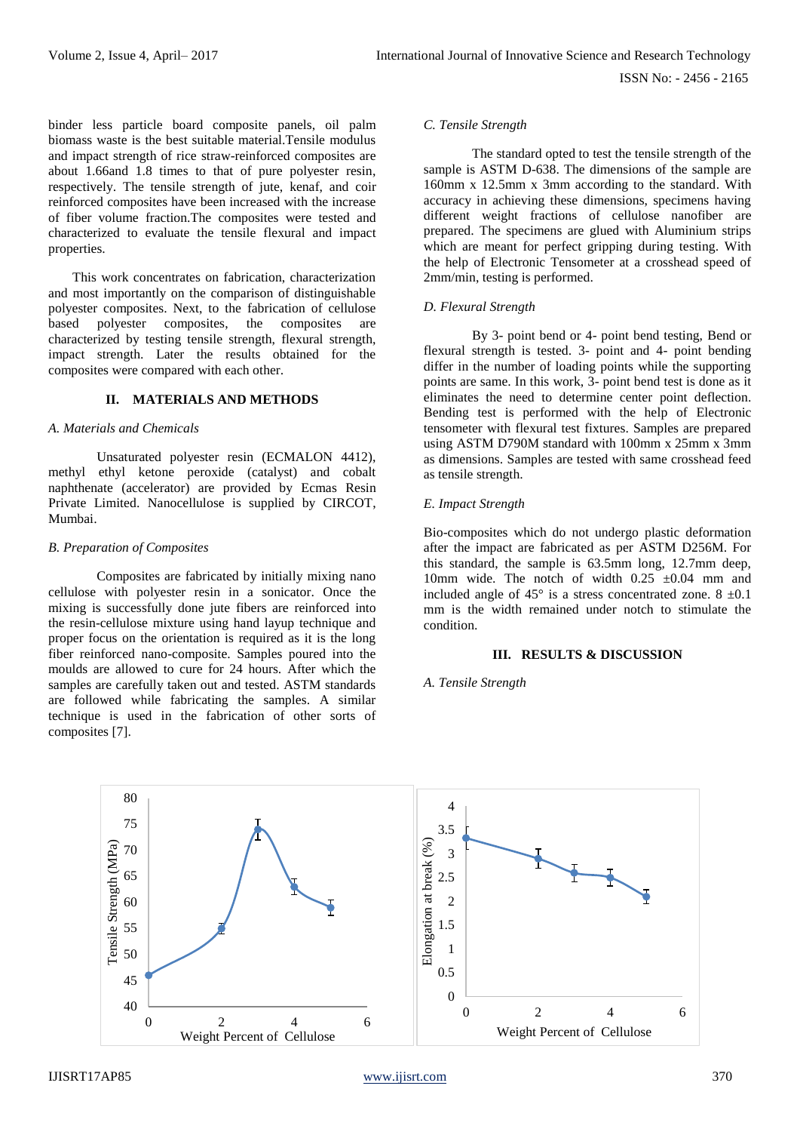ISSN No: - 2456 - 2165

binder less particle board composite panels, oil palm biomass waste is the best suitable material.Tensile modulus and impact strength of rice straw-reinforced composites are about 1.66and 1.8 times to that of pure polyester resin, respectively. The tensile strength of jute, kenaf, and coir reinforced composites have been increased with the increase of fiber volume fraction.The composites were tested and characterized to evaluate the tensile flexural and impact properties.

This work concentrates on fabrication, characterization and most importantly on the comparison of distinguishable polyester composites. Next, to the fabrication of cellulose based polyester composites, the composites are characterized by testing tensile strength, flexural strength, impact strength. Later the results obtained for the composites were compared with each other.

### **II. MATERIALS AND METHODS**

#### *A. Materials and Chemicals*

Unsaturated polyester resin (ECMALON 4412), methyl ethyl ketone peroxide (catalyst) and cobalt naphthenate (accelerator) are provided by Ecmas Resin Private Limited. Nanocellulose is supplied by CIRCOT, Mumbai.

#### *B. Preparation of Composites*

Composites are fabricated by initially mixing nano cellulose with polyester resin in a sonicator. Once the mixing is successfully done jute fibers are reinforced into the resin-cellulose mixture using hand layup technique and proper focus on the orientation is required as it is the long fiber reinforced nano-composite. Samples poured into the moulds are allowed to cure for 24 hours. After which the samples are carefully taken out and tested. ASTM standards are followed while fabricating the samples. A similar technique is used in the fabrication of other sorts of composites [7].

### *C. Tensile Strength*

The standard opted to test the tensile strength of the sample is ASTM D-638. The dimensions of the sample are 160mm x 12.5mm x 3mm according to the standard. With accuracy in achieving these dimensions, specimens having different weight fractions of cellulose nanofiber are prepared. The specimens are glued with Aluminium strips which are meant for perfect gripping during testing. With the help of Electronic Tensometer at a crosshead speed of 2mm/min, testing is performed.

### *D. Flexural Strength*

By 3- point bend or 4- point bend testing, Bend or flexural strength is tested. 3- point and 4- point bending differ in the number of loading points while the supporting points are same. In this work, 3- point bend test is done as it eliminates the need to determine center point deflection. Bending test is performed with the help of Electronic tensometer with flexural test fixtures. Samples are prepared using ASTM D790M standard with 100mm x 25mm x 3mm as dimensions. Samples are tested with same crosshead feed as tensile strength.

### *E. Impact Strength*

Bio-composites which do not undergo plastic deformation after the impact are fabricated as per ASTM D256M. For this standard, the sample is 63.5mm long, 12.7mm deep, 10mm wide. The notch of width  $0.25 \pm 0.04$  mm and included angle of  $45^{\circ}$  is a stress concentrated zone.  $8 \pm 0.1$ mm is the width remained under notch to stimulate the condition.

#### **III. RESULTS & DISCUSSION**

*A. Tensile Strength*

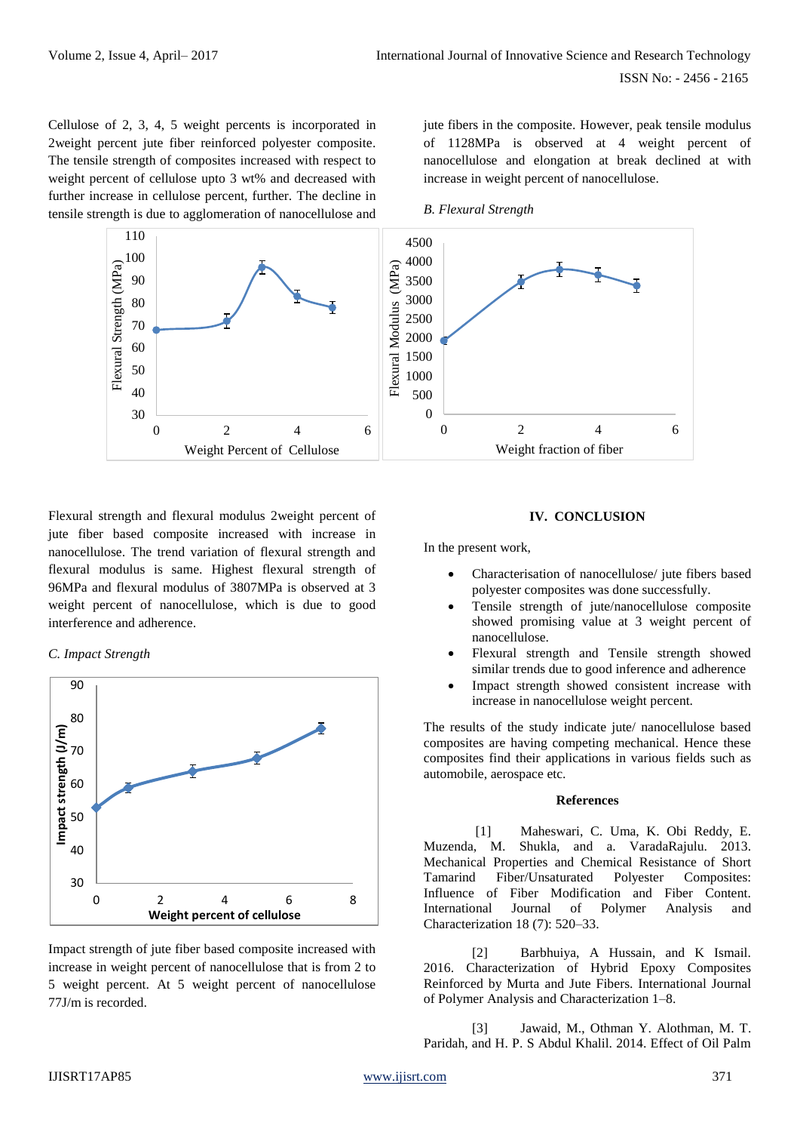Cellulose of 2, 3, 4, 5 weight percents is incorporated in 2weight percent jute fiber reinforced polyester composite. The tensile strength of composites increased with respect to weight percent of cellulose upto 3 wt% and decreased with further increase in cellulose percent, further. The decline in tensile strength is due to agglomeration of nanocellulose and jute fibers in the composite. However, peak tensile modulus of 1128MPa is observed at 4 weight percent of nanocellulose and elongation at break declined at with increase in weight percent of nanocellulose.

*B. Flexural Strength*



Flexural strength and flexural modulus 2weight percent of jute fiber based composite increased with increase in nanocellulose. The trend variation of flexural strength and flexural modulus is same. Highest flexural strength of 96MPa and flexural modulus of 3807MPa is observed at 3 weight percent of nanocellulose, which is due to good interference and adherence.





Impact strength of jute fiber based composite increased with increase in weight percent of nanocellulose that is from 2 to 5 weight percent. At 5 weight percent of nanocellulose 77J/m is recorded.

# **IV. CONCLUSION**

In the present work,

- Characterisation of nanocellulose/ jute fibers based polyester composites was done successfully.
- Tensile strength of jute/nanocellulose composite showed promising value at 3 weight percent of nanocellulose.
- Flexural strength and Tensile strength showed similar trends due to good inference and adherence
- Impact strength showed consistent increase with increase in nanocellulose weight percent.

The results of the study indicate jute/ nanocellulose based composites are having competing mechanical. Hence these composites find their applications in various fields such as automobile, aerospace etc.

## **References**

[1] Maheswari, C. Uma, K. Obi Reddy, E. Muzenda, M. Shukla, and a. VaradaRajulu. 2013. Mechanical Properties and Chemical Resistance of Short Tamarind Fiber/Unsaturated Polyester Composites: Influence of Fiber Modification and Fiber Content. International Journal of Polymer Analysis and Characterization 18 (7): 520–33.

[2] Barbhuiya, A Hussain, and K Ismail. 2016. Characterization of Hybrid Epoxy Composites Reinforced by Murta and Jute Fibers. International Journal of Polymer Analysis and Characterization 1–8.

[3] Jawaid, M., Othman Y. Alothman, M. T. Paridah, and H. P. S Abdul Khalil. 2014. Effect of Oil Palm